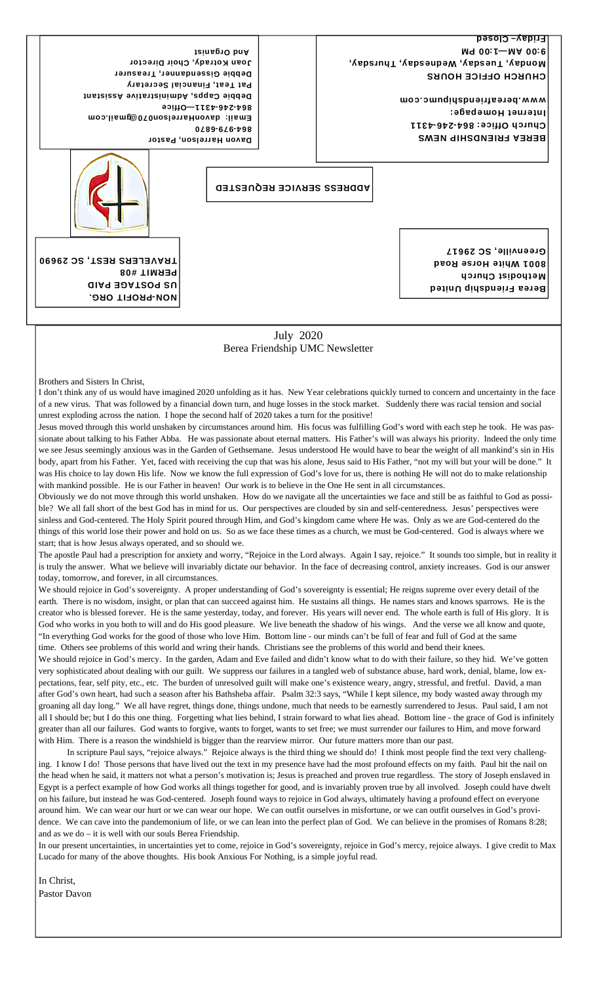CHURCH OFFICE HOURS Monday, Tuesday, Wednesday, Thursday, M9 00:1-MA 00:9 Friday– Closed

> BEREA FRIENDSHIP NEWS Church Ottice: 864-246-4311 Internet Homepage: www.bereafriendshipumc.com

Davon Harrelson, Pastor 0489-646-798 Email: davonHarrelson070@gmail.com 864-246-4311—Office Debbie Capps, Administrative Assistant Pat Teat, Financial Secretary Debbie Gissendanner, Treasurer Joan Kotrady, Choir Director And Organist

ADDRESS SERVICE REQUESTED



NON-PROFIT ORG. US POSTAGE PAID

PERMIT #08

Berea Friendship United Methodist Church 8001 White Horse Road Greenville, SC 29617

July 2020 Berea Friendship UMC Newsletter

Brothers and Sisters In Christ,

I don't think any of us would have imagined 2020 unfolding as it has. New Year celebrations quickly turned to concern and uncertainty in the face of a new virus. That was followed by a financial down turn, and huge losses in the stock market. Suddenly there was racial tension and social unrest exploding across the nation. I hope the second half of 2020 takes a turn for the positive!

Jesus moved through this world unshaken by circumstances around him. His focus was fulfilling God's word with each step he took. He was passionate about talking to his Father Abba. He was passionate about eternal matters. His Father's will was always his priority. Indeed the only time we see Jesus seemingly anxious was in the Garden of Gethsemane. Jesus understood He would have to bear the weight of all mankind's sin in His body, apart from his Father. Yet, faced with receiving the cup that was his alone, Jesus said to His Father, "not my will but your will be done." It was His choice to lay down His life. Now we know the full expression of God's love for us, there is nothing He will not do to make relationship with mankind possible. He is our Father in heaven! Our work is to believe in the One He sent in all circumstances.

Obviously we do not move through this world unshaken. How do we navigate all the uncertainties we face and still be as faithful to God as possible? We all fall short of the best God has in mind for us. Our perspectives are clouded by sin and self-centeredness. Jesus' perspectives were sinless and God-centered. The Holy Spirit poured through Him, and God's kingdom came where He was. Only as we are God-centered do the things of this world lose their power and hold on us. So as we face these times as a church, we must be God-centered. God is always where we start; that is how Jesus always operated, and so should we.

The apostle Paul had a prescription for anxiety and worry, "Rejoice in the Lord always. Again I say, rejoice." It sounds too simple, but in reality it is truly the answer. What we believe will invariably dictate our behavior. In the face of decreasing control, anxiety increases. God is our answer today, tomorrow, and forever, in all circumstances.

We should rejoice in God's sovereignty. A proper understanding of God's sovereignty is essential; He reigns supreme over every detail of the earth. There is no wisdom, insight, or plan that can succeed against him. He sustains all things. He names stars and knows sparrows. He is the creator who is blessed forever. He is the same yesterday, today, and forever. His years will never end. The whole earth is full of His glory. It is God who works in you both to will and do His good pleasure. We live beneath the shadow of his wings. And the verse we all know and quote, "In everything God works for the good of those who love Him. Bottom line - our minds can't be full of fear and full of God at the same time. Others see problems of this world and wring their hands. Christians see the problems of this world and bend their knees.

We should rejoice in God's mercy. In the garden, Adam and Eve failed and didn't know what to do with their failure, so they hid. We've gotten very sophisticated about dealing with our guilt. We suppress our failures in a tangled web of substance abuse, hard work, denial, blame, low expectations, fear, self pity, etc., etc. The burden of unresolved guilt will make one's existence weary, angry, stressful, and fretful. David, a man after God's own heart, had such a season after his Bathsheba affair. Psalm 32:3 says, "While I kept silence, my body wasted away through my groaning all day long." We all have regret, things done, things undone, much that needs to be earnestly surrendered to Jesus. Paul said, I am not all I should be; but I do this one thing. Forgetting what lies behind, I strain forward to what lies ahead. Bottom line - the grace of God is infinitely greater than all our failures. God wants to forgive, wants to forget, wants to set free; we must surrender our failures to Him, and move forward with Him. There is a reason the windshield is bigger than the rearview mirror. Our future matters more than our past.

 In scripture Paul says, "rejoice always." Rejoice always is the third thing we should do! I think most people find the text very challenging. I know I do! Those persons that have lived out the text in my presence have had the most profound effects on my faith. Paul hit the nail on the head when he said, it matters not what a person's motivation is; Jesus is preached and proven true regardless. The story of Joseph enslaved in Egypt is a perfect example of how God works all things together for good, and is invariably proven true by all involved. Joseph could have dwelt on his failure, but instead he was God-centered. Joseph found ways to rejoice in God always, ultimately having a profound effect on everyone around him. We can wear our hurt or we can wear our hope. We can outfit ourselves in misfortune, or we can outfit ourselves in God's providence. We can cave into the pandemonium of life, or we can lean into the perfect plan of God. We can believe in the promises of Romans 8:28; and as we do – it is well with our souls Berea Friendship.

In our present uncertainties, in uncertainties yet to come, rejoice in God's sovereignty, rejoice in God's mercy, rejoice always. I give credit to Max Lucado for many of the above thoughts. His book Anxious For Nothing, is a simple joyful read.

In Christ, Pastor Davon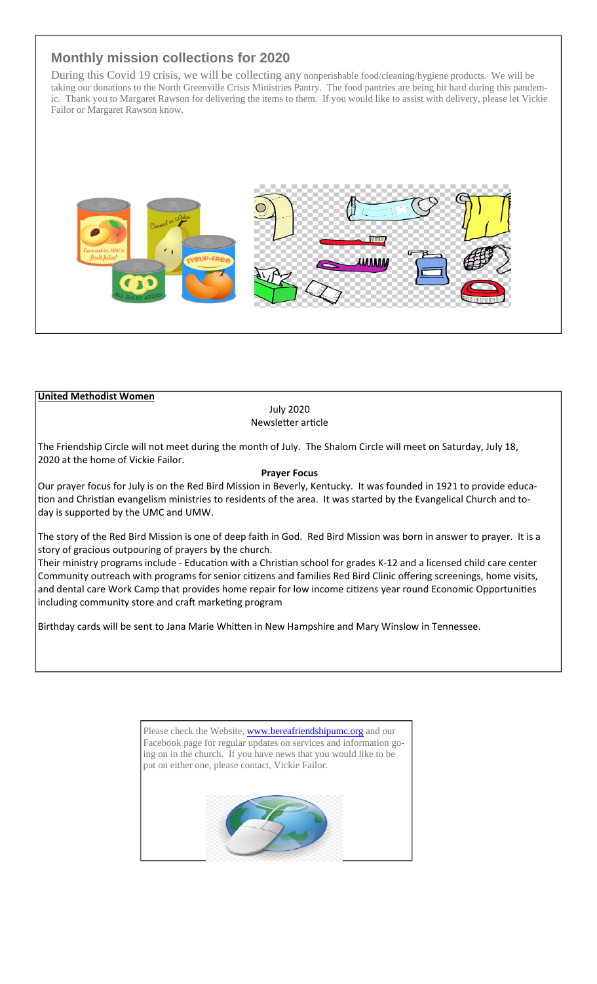# **Monthly mission collections for 2020**

During this Covid 19 crisis, we will be collecting any nonperishable food/cleaning/hygiene products. We will be taking our donations to the North Greenville Crisis Ministries Pantry. The food pantries are being hit hard during this pandemic. Thank you to Margaret Rawson for delivering the items to them. If you would like to assist with delivery, please let Vickie Failor or Margaret Rawson know.



### **United Methodist Women**

July 2020 Newsletter article

The Friendship Circle will not meet during the month of July. The Shalom Circle will meet on Saturday, July 18, 2020 at the home of Vickie Failor.

#### **Prayer Focus**

Our prayer focus for July is on the Red Bird Mission in Beverly, Kentucky. It was founded in 1921 to provide educa‐ tion and Christian evangelism ministries to residents of the area. It was started by the Evangelical Church and today is supported by the UMC and UMW.

The story of the Red Bird Mission is one of deep faith in God. Red Bird Mission was born in answer to prayer. It is a story of gracious outpouring of prayers by the church.

Their ministry programs include - Education with a Christian school for grades K-12 and a licensed child care center Community outreach with programs for senior citizens and families Red Bird Clinic offering screenings, home visits, and dental care Work Camp that provides home repair for low income citizens year round Economic Opportunities including community store and craft marketing program

Birthday cards will be sent to Jana Marie Whitten in New Hampshire and Mary Winslow in Tennessee.

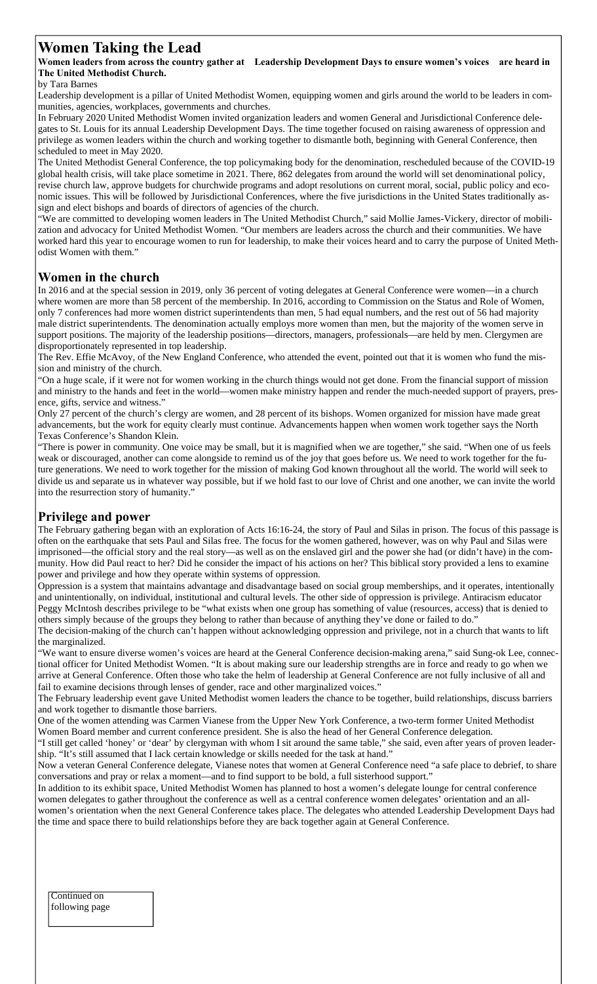# **Women Taking the Lead**

**Women leaders from across the country gather at Leadership Development Days to ensure women's voices are heard in The United Methodist Church.**

by Tara Barnes

Leadership development is a pillar of United Methodist Women, equipping women and girls around the world to be leaders in communities, agencies, workplaces, governments and churches.

In February 2020 United Methodist Women invited organization leaders and women General and Jurisdictional Conference delegates to St. Louis for its annual Leadership Development Days. The time together focused on raising awareness of oppression and privilege as women leaders within the church and working together to dismantle both, beginning with General Conference, then scheduled to meet in May 2020.

The United Methodist General Conference, the top policymaking body for the denomination, rescheduled because of the COVID-19 global health crisis, will take place sometime in 2021. There, 862 delegates from around the world will set denominational policy, revise church law, approve budgets for churchwide programs and adopt resolutions on current moral, social, public policy and economic issues. This will be followed by Jurisdictional Conferences, where the five jurisdictions in the United States traditionally assign and elect bishops and boards of directors of agencies of the church.

"We are committed to developing women leaders in The United Methodist Church," said Mollie James-Vickery, director of mobilization and advocacy for United Methodist Women. "Our members are leaders across the church and their communities. We have worked hard this year to encourage women to run for leadership, to make their voices heard and to carry the purpose of United Methodist Women with them."

## **Women in the church**

In 2016 and at the special session in 2019, only 36 percent of voting delegates at General Conference were women—in a church where women are more than 58 percent of the membership. In 2016, according to Commission on the Status and Role of Women, only 7 conferences had more women district superintendents than men, 5 had equal numbers, and the rest out of 56 had majority male district superintendents. The denomination actually employs more women than men, but the majority of the women serve in support positions. The majority of the leadership positions—directors, managers, professionals—are held by men. Clergymen are disproportionately represented in top leadership.

The Rev. Effie McAvoy, of the New England Conference, who attended the event, pointed out that it is women who fund the mission and ministry of the church.

"On a huge scale, if it were not for women working in the church things would not get done. From the financial support of mission and ministry to the hands and feet in the world—women make ministry happen and render the much-needed support of prayers, presence, gifts, service and witness."

Only 27 percent of the church's clergy are women, and 28 percent of its bishops. Women organized for mission have made great advancements, but the work for equity clearly must continue. Advancements happen when women work together says the North Texas Conference's Shandon Klein.

"There is power in community. One voice may be small, but it is magnified when we are together," she said. "When one of us feels weak or discouraged, another can come alongside to remind us of the joy that goes before us. We need to work together for the future generations. We need to work together for the mission of making God known throughout all the world. The world will seek to divide us and separate us in whatever way possible, but if we hold fast to our love of Christ and one another, we can invite the world into the resurrection story of humanity."

## **Privilege and power**

The February gathering began with an exploration of Acts 16:16-24, the story of Paul and Silas in prison. The focus of this passage is often on the earthquake that sets Paul and Silas free. The focus for the women gathered, however, was on why Paul and Silas were imprisoned—the official story and the real story—as well as on the enslaved girl and the power she had (or didn't have) in the community. How did Paul react to her? Did he consider the impact of his actions on her? This biblical story provided a lens to examine power and privilege and how they operate within systems of oppression.

Oppression is a system that maintains advantage and disadvantage based on social group memberships, and it operates, intentionally and unintentionally, on individual, institutional and cultural levels. The other side of oppression is privilege. Antiracism educator Peggy McIntosh describes privilege to be "what exists when one group has something of value (resources, access) that is denied to others simply because of the groups they belong to rather than because of anything they've done or failed to do."

The decision-making of the church can't happen without acknowledging oppression and privilege, not in a church that wants to lift the marginalized.

"We want to ensure diverse women's voices are heard at the General Conference decision-making arena," said Sung-ok Lee, connectional officer for United Methodist Women. "It is about making sure our leadership strengths are in force and ready to go when we arrive at General Conference. Often those who take the helm of leadership at General Conference are not fully inclusive of all and fail to examine decisions through lenses of gender, race and other marginalized voices."

The February leadership event gave United Methodist women leaders the chance to be together, build relationships, discuss barriers and work together to dismantle those barriers.

One of the women attending was Carmen Vianese from the Upper New York Conference, a two-term former United Methodist Women Board member and current conference president. She is also the head of her General Conference delegation.

"I still get called 'honey' or 'dear' by clergyman with whom I sit around the same table," she said, even after years of proven leadership. "It's still assumed that I lack certain knowledge or skills needed for the task at hand."

Now a veteran General Conference delegate, Vianese notes that women at General Conference need "a safe place to debrief, to share conversations and pray or relax a moment—and to find support to be bold, a full sisterhood support."

In addition to its exhibit space, United Methodist Women has planned to host a women's delegate lounge for central conference women delegates to gather throughout the conference as well as a central conference women delegates' orientation and an allwomen's orientation when the next General Conference takes place. The delegates who attended Leadership Development Days had the time and space there to build relationships before they are back together again at General Conference.

#### Continued on following page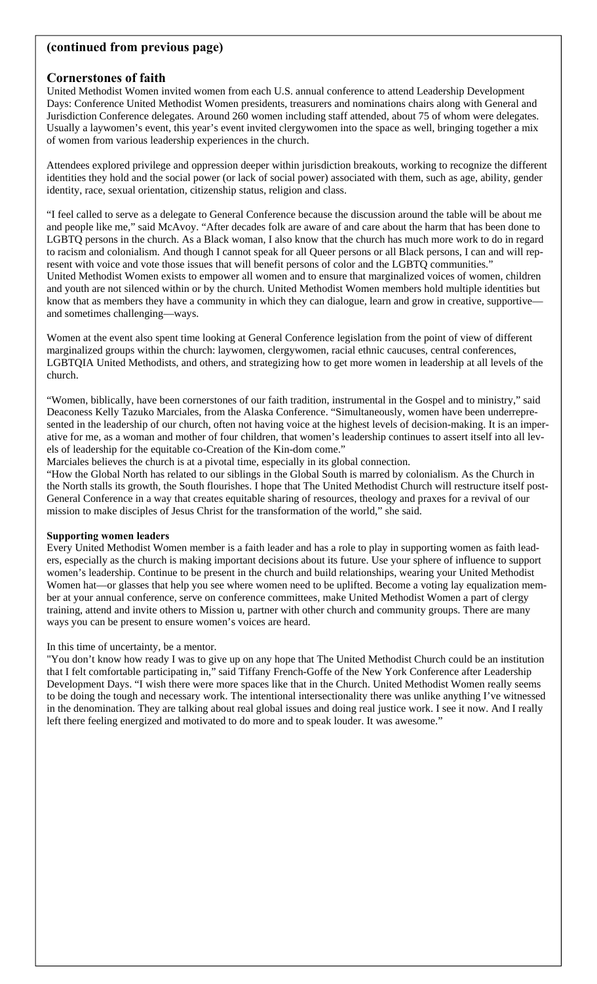## **(continued from previous page)**

## **Cornerstones of faith**

United Methodist Women invited women from each U.S. annual conference to attend Leadership Development Days: Conference United Methodist Women presidents, treasurers and nominations chairs along with General and Jurisdiction Conference delegates. Around 260 women including staff attended, about 75 of whom were delegates. Usually a laywomen's event, this year's event invited clergywomen into the space as well, bringing together a mix of women from various leadership experiences in the church.

Attendees explored privilege and oppression deeper within jurisdiction breakouts, working to recognize the different identities they hold and the social power (or lack of social power) associated with them, such as age, ability, gender identity, race, sexual orientation, citizenship status, religion and class.

"I feel called to serve as a delegate to General Conference because the discussion around the table will be about me and people like me," said McAvoy. "After decades folk are aware of and care about the harm that has been done to LGBTQ persons in the church. As a Black woman, I also know that the church has much more work to do in regard to racism and colonialism. And though I cannot speak for all Queer persons or all Black persons, I can and will represent with voice and vote those issues that will benefit persons of color and the LGBTQ communities." United Methodist Women exists to empower all women and to ensure that marginalized voices of women, children and youth are not silenced within or by the church. United Methodist Women members hold multiple identities but know that as members they have a community in which they can dialogue, learn and grow in creative, supportive and sometimes challenging—ways.

Women at the event also spent time looking at General Conference legislation from the point of view of different marginalized groups within the church: laywomen, clergywomen, racial ethnic caucuses, central conferences, LGBTQIA United Methodists, and others, and strategizing how to get more women in leadership at all levels of the church.

"Women, biblically, have been cornerstones of our faith tradition, instrumental in the Gospel and to ministry," said Deaconess Kelly Tazuko Marciales, from the Alaska Conference. "Simultaneously, women have been underrepresented in the leadership of our church, often not having voice at the highest levels of decision-making. It is an imperative for me, as a woman and mother of four children, that women's leadership continues to assert itself into all levels of leadership for the equitable co-Creation of the Kin-dom come."

Marciales believes the church is at a pivotal time, especially in its global connection.

"How the Global North has related to our siblings in the Global South is marred by colonialism. As the Church in the North stalls its growth, the South flourishes. I hope that The United Methodist Church will restructure itself post-General Conference in a way that creates equitable sharing of resources, theology and praxes for a revival of our mission to make disciples of Jesus Christ for the transformation of the world," she said.

#### **Supporting women leaders**

Every United Methodist Women member is a faith leader and has a role to play in supporting women as faith leaders, especially as the church is making important decisions about its future. Use your sphere of influence to support women's leadership. Continue to be present in the church and build relationships, wearing your United Methodist Women hat—or glasses that help you see where women need to be uplifted. Become a voting lay equalization member at your annual conference, serve on conference committees, make United Methodist Women a part of clergy training, attend and invite others to Mission u, partner with other church and community groups. There are many ways you can be present to ensure women's voices are heard.

#### In this time of uncertainty, be a mentor.

"You don't know how ready I was to give up on any hope that The United Methodist Church could be an institution that I felt comfortable participating in," said Tiffany French-Goffe of the New York Conference after Leadership Development Days. "I wish there were more spaces like that in the Church. United Methodist Women really seems to be doing the tough and necessary work. The intentional intersectionality there was unlike anything I've witnessed in the denomination. They are talking about real global issues and doing real justice work. I see it now. And I really left there feeling energized and motivated to do more and to speak louder. It was awesome."